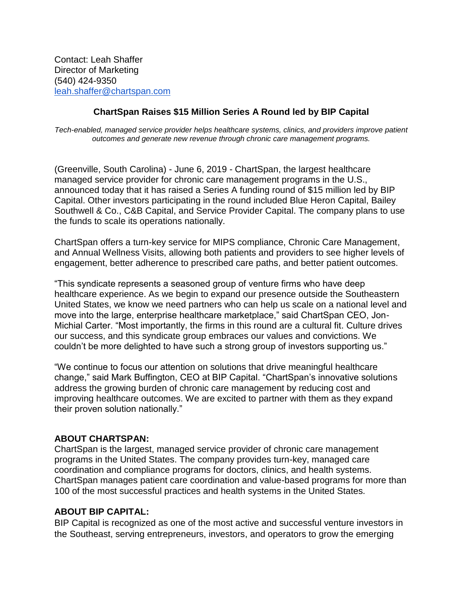## **ChartSpan Raises \$15 Million Series A Round led by BIP Capital**

*Tech-enabled, managed service provider helps healthcare systems, clinics, and providers improve patient outcomes and generate new revenue through chronic care management programs.*

(Greenville, South Carolina) - June 6, 2019 - ChartSpan, the largest healthcare managed service provider for chronic care management programs in the U.S., announced today that it has raised a Series A funding round of \$15 million led by BIP Capital. Other investors participating in the round included Blue Heron Capital, Bailey Southwell & Co., C&B Capital, and Service Provider Capital. The company plans to use the funds to scale its operations nationally.

ChartSpan offers a turn-key service for MIPS compliance, Chronic Care Management, and Annual Wellness Visits, allowing both patients and providers to see higher levels of engagement, better adherence to prescribed care paths, and better patient outcomes.

"This syndicate represents a seasoned group of venture firms who have deep healthcare experience. As we begin to expand our presence outside the Southeastern United States, we know we need partners who can help us scale on a national level and move into the large, enterprise healthcare marketplace," said ChartSpan CEO, Jon-Michial Carter. "Most importantly, the firms in this round are a cultural fit. Culture drives our success, and this syndicate group embraces our values and convictions. We couldn't be more delighted to have such a strong group of investors supporting us."

"We continue to focus our attention on solutions that drive meaningful healthcare change," said Mark Buffington, CEO at BIP Capital. "ChartSpan's innovative solutions address the growing burden of chronic care management by reducing cost and improving healthcare outcomes. We are excited to partner with them as they expand their proven solution nationally."

## **ABOUT CHARTSPAN:**

ChartSpan is the largest, managed service provider of chronic care management programs in the United States. The company provides turn-key, managed care coordination and compliance programs for doctors, clinics, and health systems. ChartSpan manages patient care coordination and value-based programs for more than 100 of the most successful practices and health systems in the United States.

## **ABOUT BIP CAPITAL:**

BIP Capital is recognized as one of the most active and successful venture investors in the Southeast, serving entrepreneurs, investors, and operators to grow the emerging